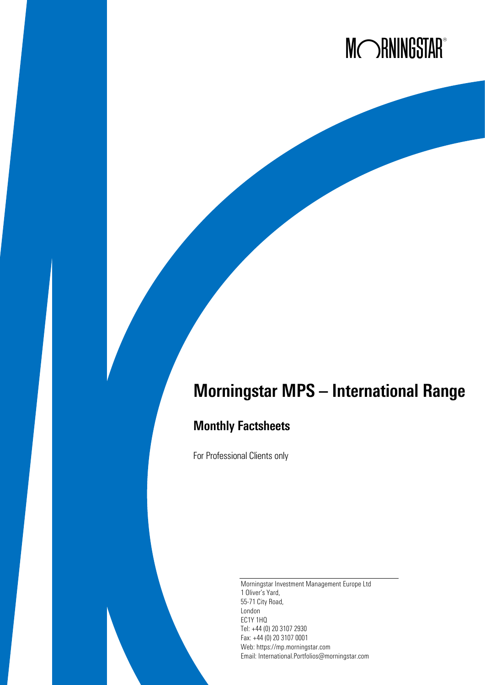# MORNINGSTAR®

## Morningstar MPS – International Range

## Monthly Factsheets

For Professional Clients only

Morningstar Investment Management Europe Ltd 1 Oliver's Yard, 55-71 City Road, London EC1Y 1HQ Tel: +44 (0) 20 3107 2930 Fax: +44 (0) 20 3107 0001 Web: https://mp.morningstar.com Email: International.Portfolios@morningstar.com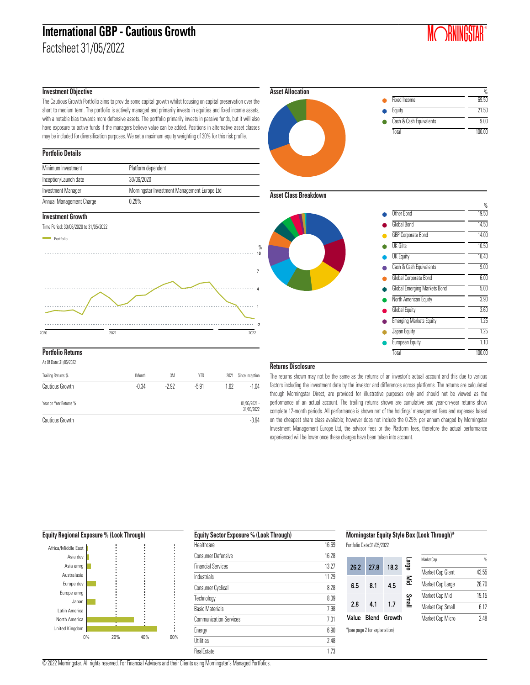## **International GBP - Cautious Growth**

Factsheet 31/05/2022



#### **Investment Objective**

The Cautious Growth Portfolio aims to provide some capital growth whilst focusing on capital preservation over the short to medium term. The portfolio is actively managed and primarily invests in equities and fixed income assets, with a notable bias towards more defensive assets. The portfolio primarily invests in passive funds, but it will also have exposure to active funds if the managers believe value can be added. Positions in alternative asset classes may be included for diversification purposes. We set a maximum equity weighting of 30% for this risk profile.

#### **Portfolio Details**

| Minimum Investment       | Platform dependent                           |
|--------------------------|----------------------------------------------|
| Inception/Launch date    | 30/06/2020                                   |
| Investment Manager       | Morningstar Investment Management Europe Ltd |
| Annual Management Charge | 0.25%                                        |

#### **Investment Growth**



| As Of Date: 31/05/2022 |         |       |         |      |                              |
|------------------------|---------|-------|---------|------|------------------------------|
| Trailing Returns %     | 1Month  | 3M    | YTD     | 2021 | Since Inception              |
| Cautious Growth        | $-0.34$ | -2.92 | $-5.91$ | 1.62 | $-1.04$                      |
| Year on Year Returns % |         |       |         |      | $01/06/2021 -$<br>31/05/2022 |
| Cautious Growth        |         |       |         |      | $-3.94$                      |



#### **Asset Class Breakdown**



#### **Returns Disclosure**

The returns shown may not be the same as the returns of an investor's actual account and this due to various factors including the investment date by the investor and differences across platforms. The returns are calculated through Morningstar Direct, are provided for illustrative purposes only and should not be viewed as the performance of an actual account. The trailing returns shown are cumulative and year-on-year returns show complete 12-month periods. All performance is shown net of the holdings' management fees and expenses based on the cheapest share class available; however does not include the 0.25% per annum charged by Morningstar Investment Management Europe Ltd, the advisor fees or the Platform fees, therefore the actual performance experienced will be lower once these charges have been taken into account.

#### **Equity Regional Exposure % (Look Through)** 0% 20% 40% 60% United Kingdom North America Latin America Japan Europe emrg Europe dev Australasia Asia emrg Asia dev Africa/Middle East

| <b>Equity Sector Exposure % (Look Through)</b> |       |
|------------------------------------------------|-------|
| Healthcare                                     | 16.69 |
| <b>Consumer Defensive</b>                      | 16.28 |
| <b>Financial Services</b>                      | 13.27 |
| Industrials                                    | 11.29 |
| <b>Consumer Cyclical</b>                       | 8.28  |
| Technology                                     | 8.09  |
| <b>Basic Materials</b>                         | 7.98  |
| <b>Communication Services</b>                  | 7 01  |
| Energy                                         | 6.90  |
| <b>Utilities</b>                               | 248   |
| <b>RealEstate</b>                              | 173   |
|                                                |       |

#### **Morningstar Equity Style Box (Look Through)\***

Portfolio Date:31/05/2022

| 26.2  | 27.8                          | 18.3   | <u>ត្ត</u> | MarketCap        | %     |
|-------|-------------------------------|--------|------------|------------------|-------|
|       |                               |        |            | Market Cap Giant | 43.55 |
| 6.5   | 8.1                           | 4.5    | §          | Market Cap Large | 28.70 |
|       |                               |        |            | Market Cap Mid   | 19.15 |
| 2.8   | 4.1                           | 1.7    | Smal       | Market Cap Small | 6.12  |
| Value | Blend                         | Growth |            | Market Cap Micro | 2.48  |
|       | *(see page 2 for explanation) |        |            |                  |       |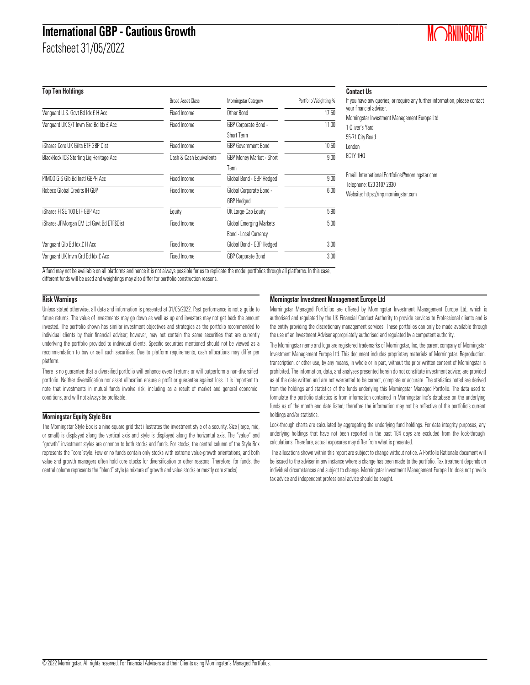## **International GBP - Cautious Growth**

Factsheet 31/05/2022

**Top Ten Holdings**

| <b>IDD IGHTHOMMIQS</b>                    |                          |                            |                       |
|-------------------------------------------|--------------------------|----------------------------|-----------------------|
|                                           | <b>Broad Asset Class</b> | Morningstar Category       | Portfolio Weighting % |
| Vanquard U.S. Govt Bd Idx £ H Acc         | Fixed Income             | Other Bond                 | 17.50                 |
| Vanquard UK S/T Invm Grd Bd Idx £ Acc     | Fixed Income             | GBP Corporate Bond -       | 11.00                 |
|                                           |                          | Short Term                 |                       |
| iShares Core UK Gilts ETF GBP Dist        | Fixed Income             | <b>GBP Government Bond</b> | 10.50                 |
| BlackRock ICS Sterling Lig Heritage Acc   | Cash & Cash Equivalents  | GBP Money Market - Short   | 9.00                  |
|                                           |                          | Term                       |                       |
| PIMCO GIS GIb Bd Instl GBPH Acc.          | Fixed Income             | Global Bond - GBP Hedged   | 9.00                  |
| Robeco Global Credits IH GBP              | Fixed Income             | Global Corporate Bond -    | 6.00                  |
|                                           |                          | <b>GBP</b> Hedged          |                       |
| iShares FTSE 100 ETF GBP Acc              | Equity                   | UK Large-Cap Equity        | 5.90                  |
| iShares JPMorgan EM Lcl Govt Bd ETF\$Dist | Fixed Income             | Global Emerging Markets    | 5.00                  |
|                                           |                          | Bond - Local Currency      |                       |
| Vanquard GIb Bd Idx £ H Acc               | Fixed Income             | Global Bond - GBP Hedged   | 3.00                  |
| Vanquard UK Invm Grd Bd Idx £ Acc         | Fixed Income             | GBP Corporate Bond         | 3.00                  |

#### **Contact Us**

If you have any queries, or require any further information, please contact your financial adviser. Morningstar Investment Management Europe Ltd 1 Oliver's Yard 55-71 City Road London EC1Y 1HQ Email: International.Portfolios@morningstar.com Telephone: 020 3107 2930 Website: https://mp.morningstar.com

**MORNINGSTAR**®

A fund may not be available on all platforms and hence it is not always possible for us to replicate the model portfolios through all platforms. In this case, different funds will be used and weightings may also differ for portfolio construction reasons.

#### **Risk Warnings**

Unless stated otherwise, all data and information is presented at 31/05/2022. Past performance is not a guide to future returns. The value of investments may go down as well as up and investors may not get back the amount invested. The portfolio shown has similar investment objectives and strategies as the portfolio recommended to individual clients by their financial adviser; however, may not contain the same securities that are currently underlying the portfolio provided to individual clients. Specific securities mentioned should not be viewed as a recommendation to buy or sell such securities. Due to platform requirements, cash allocations may differ per platform.

There is no guarantee that a diversified portfolio will enhance overall returns or will outperform a non-diversified portfolio. Neither diversification nor asset allocation ensure a profit or guarantee against loss. It is important to note that investments in mutual funds involve risk, including as a result of market and general economic conditions, and will not always be profitable.

#### **Morningstar Equity Style Box**

The Morningstar Style Box is a nine-square grid that illustrates the investment style of a security. Size (large, mid, or small) is displayed along the vertical axis and style is displayed along the horizontal axis. The "value" and "growth" investment styles are common to both stocks and funds. For stocks, the central column of the Style Box represents the "core"style. Few or no funds contain only stocks with extreme value-growth orientations, and both value and growth managers often hold core stocks for diversification or other reasons. Therefore, for funds, the central column represents the "blend" style (a mixture of growth and value stocks or mostly core stocks).

#### **Morningstar Investment Management Europe Ltd**

Morningstar Managed Portfolios are offered by Morningstar Investment Management Europe Ltd, which is authorised and regulated by the UK Financial Conduct Authority to provide services to Professional clients and is the entity providing the discretionary management services. These portfolios can only be made available through the use of an Investment Adviser appropriately authorised and regulated by a competent authority.

The Morningstar name and logo are registered trademarks of Morningstar, Inc, the parent company of Morningstar Investment Management Europe Ltd. This document includes proprietary materials of Morningstar. Reproduction, transcription, or other use, by any means, in whole or in part, without the prior written consent of Morningstar is prohibited. The information, data, and analyses presented herein do not constitute investment advice; are provided as of the date written and are not warranted to be correct, complete or accurate. The statistics noted are derived from the holdings and statistics of the funds underlying this Morningstar Managed Portfolio. The data used to formulate the portfolio statistics is from information contained in Morningstar Inc's database on the underlying funds as of the month end date listed; therefore the information may not be reflective of the portfolio's current holdings and/or statistics.

Look-through charts are calculated by aggregating the underlying fund holdings. For data integrity purposes, any underlying holdings that have not been reported in the past 184 days are excluded from the look-through calculations. Therefore, actual exposures may differ from what is presented.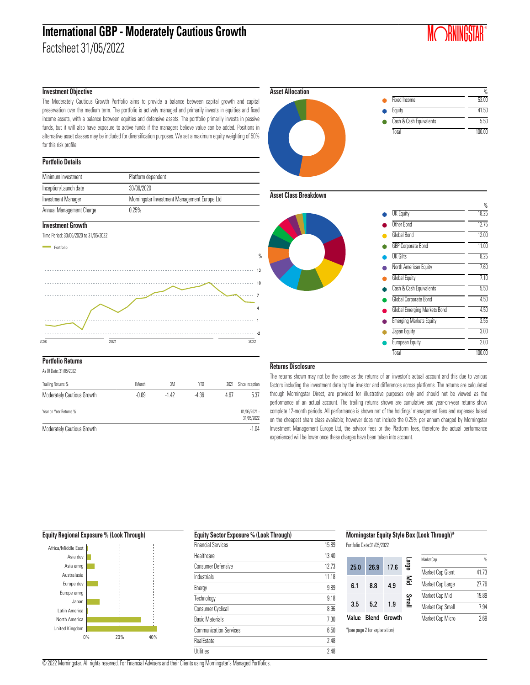### **International GBP - Moderately Cautious Growth** Factsheet 31/05/2022

## **MORNINGSTAR**®

#### **Investment Objective**

The Moderately Cautious Growth Portfolio aims to provide a balance between capital growth and capital preservation over the medium term. The portfolio is actively managed and primarily invests in equities and fixed income assets, with a balance between equities and defensive assets. The portfolio primarily invests in passive funds, but it will also have exposure to active funds if the managers believe value can be added. Positions in alternative asset classes may be included for diversification purposes. We set a maximum equity weighting of 50% for this risk profile.

#### **Portfolio Details**

| Minimum Investment       | Platform dependent                           |
|--------------------------|----------------------------------------------|
| Inception/Launch date    | 30/06/2020                                   |
| Investment Manager       | Morningstar Investment Management Europe Ltd |
| Annual Management Charge | 0.25%                                        |

#### **Investment Growth**



#### **Portfolio Returns**

As Of Date: 31/05/2022

| Trailing Returns %         | 1Month  | 3M     | YTD     | 2021 | Since Inception              |
|----------------------------|---------|--------|---------|------|------------------------------|
| Moderately Cautious Growth | $-0.09$ | $-142$ | $-4.36$ | 4.97 | 5.37                         |
| Year on Year Returns %     |         |        |         |      | $01/06/2021 -$<br>31/05/2022 |
| Moderately Cautious Growth |         |        |         |      | $-1.04$                      |



#### **Asset Class Breakdown**

 $\mathcal{Q}_k$ 

-2 1

7 10 13



#### **Returns Disclosure**

The returns shown may not be the same as the returns of an investor's actual account and this due to various factors including the investment date by the investor and differences across platforms. The returns are calculated through Morningstar Direct, are provided for illustrative purposes only and should not be viewed as the performance of an actual account. The trailing returns shown are cumulative and year-on-year returns show complete 12-month periods. All performance is shown net of the holdings' management fees and expenses based on the cheapest share class available; however does not include the 0.25% per annum charged by Morningstar Investment Management Europe Ltd, the advisor fees or the Platform fees, therefore the actual performance experienced will be lower once these charges have been taken into account.

#### **Equity Regional Exposure % (Look Through)** 0% 20% 40% United Kingdom North America Latin America Japan Europe emrg Europe dev Australasia Asia emrg Asia dev Africa/Middle East

| <b>Equity Sector Exposure % (Look Through)</b> |       |
|------------------------------------------------|-------|
| <b>Financial Services</b>                      | 15.89 |
| Healthcare                                     | 13.40 |
| <b>Consumer Defensive</b>                      | 12.73 |
| Industrials                                    | 11.18 |
| Energy                                         | 9.89  |
| Technology                                     | 9.18  |
| <b>Consumer Cyclical</b>                       | 8.96  |
| <b>Basic Materials</b>                         | 7.30  |
| <b>Communication Services</b>                  | 6.50  |
| <b>RealEstate</b>                              | 2.48  |
| <b>Utilities</b>                               | 248   |

#### **Morningstar Equity Style Box (Look Through)\***

Portfolio Date:31/05/2022

|       |                              |        | ege<br>S | MarketCap        | %     |
|-------|------------------------------|--------|----------|------------------|-------|
| 25.0  | 26.9                         | 17.6   |          | Market Cap Giant | 41.73 |
| 6.1   | 8.8                          | 4.9    | Mid      | Market Cap Large | 27.76 |
|       |                              |        | Small    | Market Cap Mid   | 19.89 |
| 3.5   | 5.2                          | 1.9    |          | Market Cap Small | 7.94  |
| Value | Blend                        | Growth |          | Market Cap Micro | 2.69  |
|       | tego nago 2 for avalanation) |        |          |                  |       |

\*(see page 2 for explanation)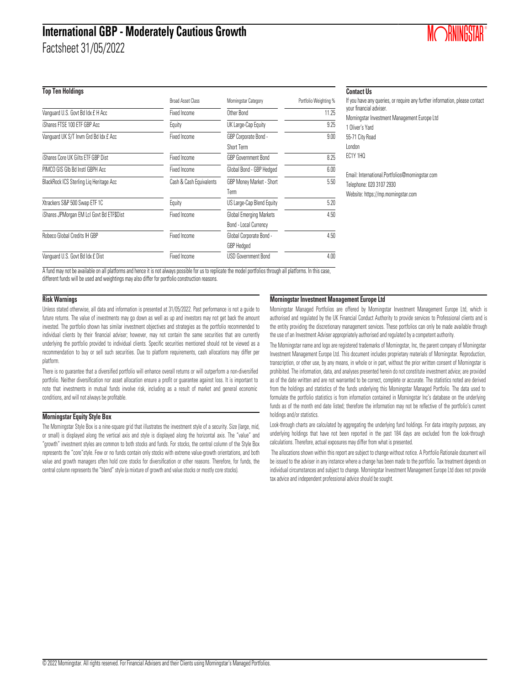### **International GBP - Moderately Cautious Growth**

Factsheet 31/05/2022

#### **Top Ten Holdings**

|                                           | <b>Broad Asset Class</b> | Morningstar Category       | Portfolio Weighting % |
|-------------------------------------------|--------------------------|----------------------------|-----------------------|
| Vanquard U.S. Govt Bd Idx £ H Acc         | Fixed Income             | Other Bond                 | 11.25                 |
| iShares FTSE 100 ETF GBP Acc              | Equity                   | UK Large-Cap Equity        | 9.25                  |
| Vanquard UK S/T Invm Grd Bd Idx £ Acc     | Fixed Income             | GBP Corporate Bond -       | 9.00                  |
|                                           |                          | Short Term                 |                       |
| iShares Core UK Gilts ETF GBP Dist        | Fixed Income             | GBP Government Bond        | 8.25                  |
| PIMCO GIS GIb Bd Instl GBPH Acc           | Fixed Income             | Global Bond - GBP Hedged   | 6.00                  |
| BlackRock ICS Sterling Lig Heritage Acc   | Cash & Cash Equivalents  | GBP Money Market - Short   | 5.50                  |
|                                           |                          | Term                       |                       |
| Xtrackers S&P 500 Swap ETF 1C             | Equity                   | US Large-Cap Blend Equity  | 5.20                  |
| iShares JPMorgan EM Lcl Govt Bd ETF\$Dist | Fixed Income             | Global Emerging Markets    | 4.50                  |
|                                           |                          | Bond - Local Currency      |                       |
| Robeco Global Credits IH GBP              | Fixed Income             | Global Corporate Bond -    | 4.50                  |
|                                           |                          | <b>GBP</b> Hedged          |                       |
| Vanquard U.S. Govt Bd Idx £ Dist          | Fixed Income             | <b>USD Government Bond</b> | 4.00                  |

#### **Contact Us**

| If you have any queries, or require any further information, please contact<br>your financial adviser. |
|--------------------------------------------------------------------------------------------------------|
| Morningstar Investment Management Europe Ltd                                                           |
| 1 Oliver's Yard                                                                                        |
| 55-71 City Road                                                                                        |
| London                                                                                                 |
| <b>EC1Y 1HO</b>                                                                                        |
| Email: International.Portfolios@morningstar.com                                                        |
| Telephone: 020 3107 2930                                                                               |
| Website: https://mp.morningstar.com                                                                    |
|                                                                                                        |
|                                                                                                        |
|                                                                                                        |

A fund may not be available on all platforms and hence it is not always possible for us to replicate the model portfolios through all platforms. In this case, different funds will be used and weightings may also differ for portfolio construction reasons.

#### **Risk Warnings**

Unless stated otherwise, all data and information is presented at 31/05/2022. Past performance is not a guide to future returns. The value of investments may go down as well as up and investors may not get back the amount invested. The portfolio shown has similar investment objectives and strategies as the portfolio recommended to individual clients by their financial adviser; however, may not contain the same securities that are currently underlying the portfolio provided to individual clients. Specific securities mentioned should not be viewed as a recommendation to buy or sell such securities. Due to platform requirements, cash allocations may differ per platform.

There is no guarantee that a diversified portfolio will enhance overall returns or will outperform a non-diversified portfolio. Neither diversification nor asset allocation ensure a profit or guarantee against loss. It is important to note that investments in mutual funds involve risk, including as a result of market and general economic conditions, and will not always be profitable.

#### **Morningstar Equity Style Box**

The Morningstar Style Box is a nine-square grid that illustrates the investment style of a security. Size (large, mid, or small) is displayed along the vertical axis and style is displayed along the horizontal axis. The "value" and "growth" investment styles are common to both stocks and funds. For stocks, the central column of the Style Box represents the "core"style. Few or no funds contain only stocks with extreme value-growth orientations, and both value and growth managers often hold core stocks for diversification or other reasons. Therefore, for funds, the central column represents the "blend" style (a mixture of growth and value stocks or mostly core stocks).

#### **Morningstar Investment Management Europe Ltd**

Morningstar Managed Portfolios are offered by Morningstar Investment Management Europe Ltd, which is authorised and regulated by the UK Financial Conduct Authority to provide services to Professional clients and is the entity providing the discretionary management services. These portfolios can only be made available through the use of an Investment Adviser appropriately authorised and regulated by a competent authority.

The Morningstar name and logo are registered trademarks of Morningstar, Inc, the parent company of Morningstar Investment Management Europe Ltd. This document includes proprietary materials of Morningstar. Reproduction, transcription, or other use, by any means, in whole or in part, without the prior written consent of Morningstar is prohibited. The information, data, and analyses presented herein do not constitute investment advice; are provided as of the date written and are not warranted to be correct, complete or accurate. The statistics noted are derived from the holdings and statistics of the funds underlying this Morningstar Managed Portfolio. The data used to formulate the portfolio statistics is from information contained in Morningstar Inc's database on the underlying funds as of the month end date listed; therefore the information may not be reflective of the portfolio's current holdings and/or statistics.

Look-through charts are calculated by aggregating the underlying fund holdings. For data integrity purposes, any underlying holdings that have not been reported in the past 184 days are excluded from the look-through calculations. Therefore, actual exposures may differ from what is presented.

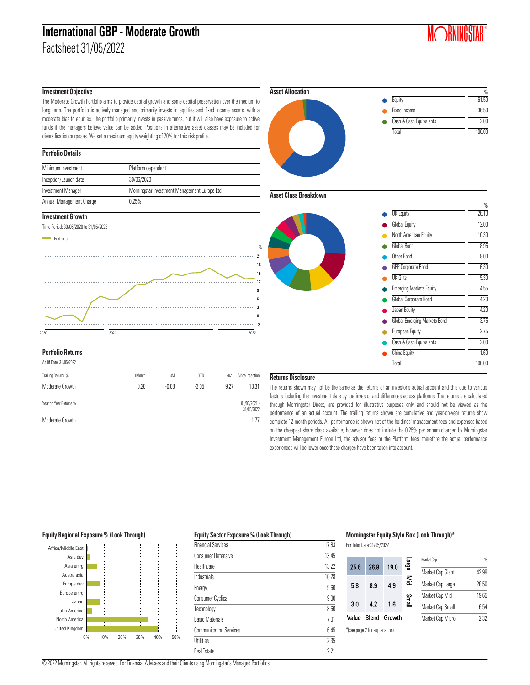### **International GBP - Moderate Growth** Factsheet 31/05/2022

**MORNINGSTAR**®

#### **Investment Objective**

The Moderate Growth Portfolio aims to provide capital growth and some capital preservation over the medium to long term. The portfolio is actively managed and primarily invests in equities and fixed income assets, with a moderate bias to equities. The portfolio primarily invests in passive funds, but it will also have exposure to active funds if the managers believe value can be added. Positions in alternative asset classes may be included for diversification purposes. We set a maximum equity weighting of 70% for this risk profile.

#### **Portfolio Details**

| Minimum Investment       | Platform dependent                           |
|--------------------------|----------------------------------------------|
| Inception/Launch date    | 30/06/2020                                   |
| Investment Manager       | Morningstar Investment Management Europe Ltd |
| Annual Management Charge | 0.25%                                        |

#### **Investment Growth**





### **Portfolio Returns**

As Of Date: 31/05/2022

| Trailing Returns %     | 1Month | 3M      | YTD     | 2021 | Since Inception              |
|------------------------|--------|---------|---------|------|------------------------------|
| Moderate Growth        | 0.20   | $-0.08$ | $-3.05$ | 9.27 | 13.31                        |
| Year on Year Returns % |        |         |         |      | $01/06/2021 -$<br>31/05/2022 |
| Moderate Growth        |        |         |         |      | 1.77                         |

### % Equity 61.50 Fixed Income 36.50 Cash & Cash Equivalents 2.00 Total 100.00 **Asset Allocation**

#### **Asset Class Breakdown**

%

 $21$ 

9



#### **Returns Disclosure**

The returns shown may not be the same as the returns of an investor's actual account and this due to various factors including the investment date by the investor and differences across platforms. The returns are calculated through Morningstar Direct, are provided for illustrative purposes only and should not be viewed as the performance of an actual account. The trailing returns shown are cumulative and year-on-year returns show complete 12-month periods. All performance is shown net of the holdings' management fees and expenses based on the cheapest share class available; however does not include the 0.25% per annum charged by Morningstar Investment Management Europe Ltd, the advisor fees or the Platform fees, therefore the actual performance experienced will be lower once these charges have been taken into account.



| <b>Equity Sector Exposure % (Look Through)</b> |       |
|------------------------------------------------|-------|
| <b>Financial Services</b>                      | 17.83 |
| <b>Consumer Defensive</b>                      | 13.45 |
| Healthcare                                     | 13.22 |
| Industrials                                    | 10.28 |
| Energy                                         | 9.60  |
| <b>Consumer Cyclical</b>                       | 9.00  |
| Technology                                     | 8.60  |
| <b>Basic Materials</b>                         | 7 M   |
| <b>Communication Services</b>                  | ն 45  |
| <b>Utilities</b>                               | 2.35  |
| <b>RealEstate</b>                              | 221   |
|                                                |       |

#### **Morningstar Equity Style Box (Look Through)\***

Portfolio Date:31/05/2022

|       |                               |        | range | MarketCap        | $\frac{a}{b}$ |
|-------|-------------------------------|--------|-------|------------------|---------------|
| 25.6  | 26.8                          | 19.0   |       | Market Cap Giant | 42.99         |
| 5.8   | 8.9                           | 4.9    | 돌     | Market Cap Large | 28.50         |
|       |                               |        | Small | Market Cap Mid   | 19.65         |
| 3.0   | 42                            | 1.6    |       | Market Cap Small | 6.54          |
| Value | Blend                         | Growth |       | Market Cap Micro | 2.32          |
|       | *(see page 2 for explanation) |        |       |                  |               |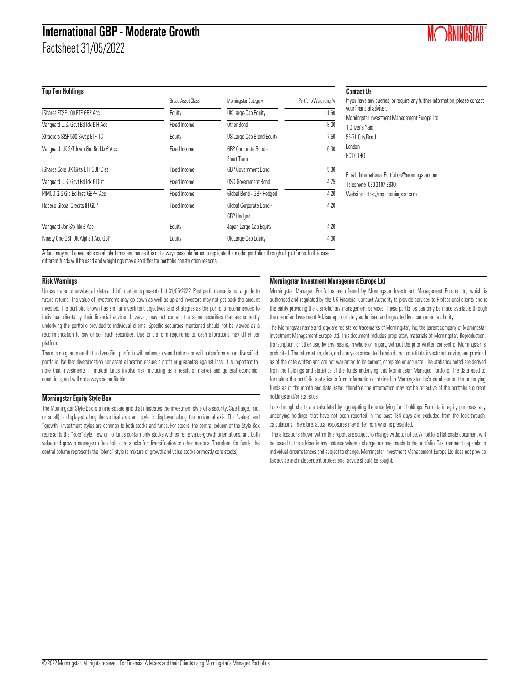## **International GBP - Moderate Growth**

Factsheet 31/05/2022

### **Top Ten Holdings**

|                                       | <b>Broad Asset Class</b> | Morningstar Category      | Portfolio Weighting % |
|---------------------------------------|--------------------------|---------------------------|-----------------------|
| iShares FTSE 100 ETF GBP Acc          | Equity                   | UK Large-Cap Equity       | 11.60                 |
| Vanquard U.S. Govt Bd Idx £ H Acc     | Fixed Income             | Other Bond                | 8.00                  |
| Xtrackers S&P 500 Swap ETF 1C         | Equity                   | US Large-Cap Blend Equity | 7.50                  |
| Vanguard UK S/T Invm Grd Bd Idx £ Acc | Fixed Income             | GBP Corporate Bond -      | 6.30                  |
|                                       |                          | Short Term                |                       |
| iShares Core UK Gilts ETF GBP Dist    | Fixed Income             | GBP Government Bond       | 5.30                  |
| Vanquard U.S. Govt Bd Idx £ Dist      | Fixed Income             | USD Government Bond       | 4.75                  |
| PIMCO GIS GIb Bd Instl GBPH Acc       | Fixed Income             | Global Bond - GBP Hedged  | 4.20                  |
| Robeco Global Credits IH GBP          | Fixed Income             | Global Corporate Bond -   | 4.20                  |
|                                       |                          | <b>GBP</b> Hedged         |                       |
| Vanquard Jpn Stk Idx £ Acc            | Equity                   | Japan Large-Cap Equity    | 4.20                  |
| Ninety One GSF UK Alpha I Acc GBP     | Equity                   | UK Large-Cap Equity       | 4.00                  |

#### **Contact Us**

| If you have any queries, or require any further information, please contact<br>your financial adviser. |
|--------------------------------------------------------------------------------------------------------|
| Morningstar Investment Management Europe Ltd                                                           |
| 1 Oliver's Yard                                                                                        |
| 55-71 City Road                                                                                        |
| London                                                                                                 |
| EC1Y 1HQ                                                                                               |
|                                                                                                        |
| Email: International.Portfolios@morningstar.com                                                        |
| Telephone: 020 3107 2930                                                                               |

A fund may not be available on all platforms and hence it is not always possible for us to replicate the model portfolios through all platforms. In this case,

different funds will be used and weightings may also differ for portfolio construction reasons.

#### **Risk Warnings**

Unless stated otherwise, all data and information is presented at 31/05/2022. Past performance is not a guide to future returns. The value of investments may go down as well as up and investors may not get back the amount invested. The portfolio shown has similar investment objectives and strategies as the portfolio recommended to individual clients by their financial adviser; however, may not contain the same securities that are currently underlying the portfolio provided to individual clients. Specific securities mentioned should not be viewed as a recommendation to buy or sell such securities. Due to platform requirements, cash allocations may differ per platform.

There is no guarantee that a diversified portfolio will enhance overall returns or will outperform a non-diversified portfolio. Neither diversification nor asset allocation ensure a profit or guarantee against loss. It is important to note that investments in mutual funds involve risk, including as a result of market and general economic conditions, and will not always be profitable.

#### **Morningstar Equity Style Box**

The Morningstar Style Box is a nine-square grid that illustrates the investment style of a security. Size (large, mid, or small) is displayed along the vertical axis and style is displayed along the horizontal axis. The "value" and "growth" investment styles are common to both stocks and funds. For stocks, the central column of the Style Box represents the "core"style. Few or no funds contain only stocks with extreme value-growth orientations, and both value and growth managers often hold core stocks for diversification or other reasons. Therefore, for funds, the central column represents the "blend" style (a mixture of growth and value stocks or mostly core stocks).

#### **Morningstar Investment Management Europe Ltd**

Morningstar Managed Portfolios are offered by Morningstar Investment Management Europe Ltd, which is authorised and regulated by the UK Financial Conduct Authority to provide services to Professional clients and is the entity providing the discretionary management services. These portfolios can only be made available through the use of an Investment Adviser appropriately authorised and regulated by a competent authority.

Website: https://mp.morningstar.com

The Morningstar name and logo are registered trademarks of Morningstar, Inc, the parent company of Morningstar Investment Management Europe Ltd. This document includes proprietary materials of Morningstar. Reproduction, transcription, or other use, by any means, in whole or in part, without the prior written consent of Morningstar is prohibited. The information, data, and analyses presented herein do not constitute investment advice; are provided as of the date written and are not warranted to be correct, complete or accurate. The statistics noted are derived from the holdings and statistics of the funds underlying this Morningstar Managed Portfolio. The data used to formulate the portfolio statistics is from information contained in Morningstar Inc's database on the underlying funds as of the month end date listed; therefore the information may not be reflective of the portfolio's current holdings and/or statistics.

Look-through charts are calculated by aggregating the underlying fund holdings. For data integrity purposes, any underlying holdings that have not been reported in the past 184 days are excluded from the look-through calculations. Therefore, actual exposures may differ from what is presented.

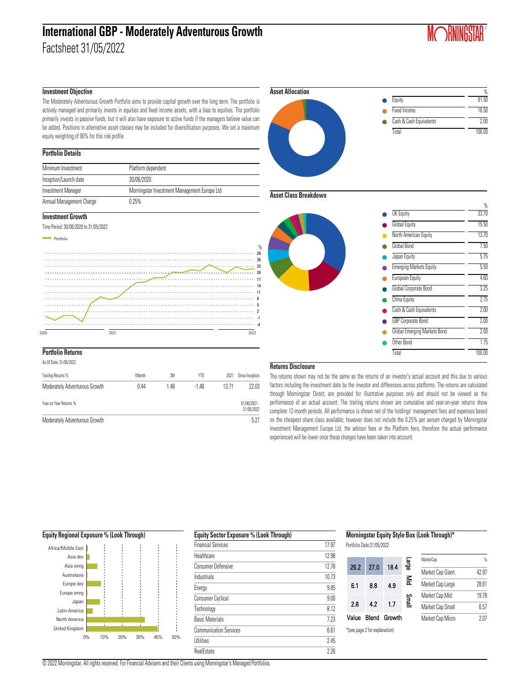# **International GBP - Moderately Adventurous Growth**

Factsheet 31/05/2022

## **MORNINGSTAR**®

#### **Investment Objective**

The Moderately Adventurous Growth Portfolio aims to provide capital growth over the long term. The portfolio is actively managed and primarily invests in equities and fixed income assets, with a bias to equities. The portfolio primarily invests in passive funds, but it will also have exposure to active funds if the managers believe value can be added. Positions in alternative asset classes may be included for diversification purposes. We set a maximum equity weighting of 90% for this risk profile.

#### **Portfolio Details**

| Minimum Investment       | Platform dependent                           |
|--------------------------|----------------------------------------------|
| Inception/Launch date    | 30/06/2020                                   |
| Investment Manager       | Morningstar Investment Management Europe Ltd |
| Annual Management Charge | 0.25%                                        |

#### **Investment Growth**







#### **Portfolio Returns**

As Of Date: 31/05/2022

| Trailing Returns %            | 1Month | 3M   | YTD     | 2021  | Since Inception              |
|-------------------------------|--------|------|---------|-------|------------------------------|
| Moderately Adventurous Growth | 0.44   | 1.48 | $-1.48$ | 13.71 | 22.03                        |
| Year on Year Returns %        |        |      |         |       | $01/06/2021 -$<br>31/05/2022 |
| Moderately Adventurous Growth |        |      |         |       | 5.27                         |



#### **Asset Class Breakdown**



#### **Returns Disclosure**

The returns shown may not be the same as the returns of an investor's actual account and this due to various factors including the investment date by the investor and differences across platforms. The returns are calculated through Morningstar Direct, are provided for illustrative purposes only and should not be viewed as the performance of an actual account. The trailing returns shown are cumulative and year-on-year returns show complete 12-month periods. All performance is shown net of the holdings' management fees and expenses based on the cheapest share class available; however does not include the 0.25% per annum charged by Morningstar Investment Management Europe Ltd, the advisor fees or the Platform fees, therefore the actual performance experienced will be lower once these charges have been taken into account.



| <b>Equity Sector Exposure % (Look Through)</b> |  |  |
|------------------------------------------------|--|--|
| 17.97                                          |  |  |
| 12.98                                          |  |  |
| 1278                                           |  |  |
| 1073                                           |  |  |
| 9.85                                           |  |  |
| 9.00                                           |  |  |
| 812                                            |  |  |
| 7.23                                           |  |  |
| 6.61                                           |  |  |
| 245                                            |  |  |
| 226                                            |  |  |
|                                                |  |  |

**Morningstar Equity Style Box (Look Through)\***

Portfolio Date:31/05/2022

| 26.2  | 27.0                          | 18.4   | ege<br>S | MarketCap        | %     |
|-------|-------------------------------|--------|----------|------------------|-------|
|       |                               |        |          | Market Cap Giant | 42.97 |
| 6.1   | 8.8                           | 4.9    | ≦        | Market Cap Large | 28.61 |
|       |                               |        |          | Market Cap Mid   | 19.78 |
| 2.8   | 42                            | 17     | Small    | Market Cap Small | 6.57  |
| Value | Blend                         | Growth |          | Market Cap Micro | 2.07  |
|       | *(see page 2 for explanation) |        |          |                  |       |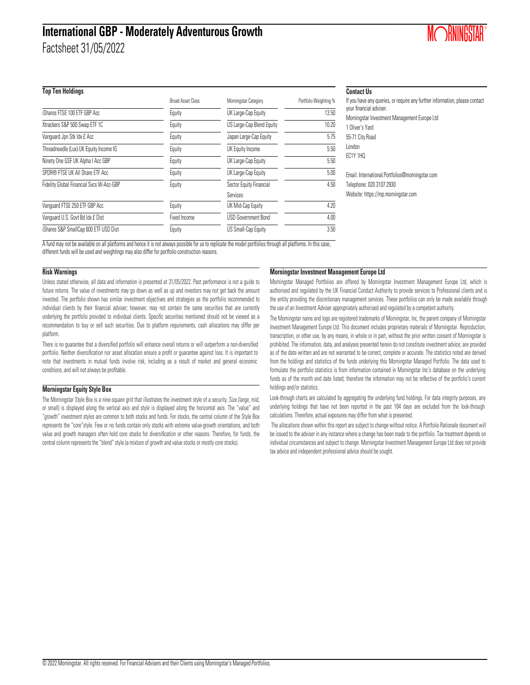### **International GBP - Moderately Adventurous Growth**

Factsheet 31/05/2022

#### **Top Ten Holdings**

|                                          | <b>Broad Asset Class</b> | Morningstar Category       | Portfolio Weighting % |
|------------------------------------------|--------------------------|----------------------------|-----------------------|
| iShares FTSE 100 ETF GBP Acc             | Equity                   | UK Large-Cap Equity        | 13.50                 |
| Xtrackers S&P 500 Swap ETF 1C            | Equity                   | US Large-Cap Blend Equity  | 10.20                 |
| Vanquard Jpn Stk Idx £ Acc               | Equity                   | Japan Large-Cap Equity     | 5.75                  |
| Threadneedle (Lux) UK Equity Income IG   | Equity                   | UK Equity Income           | 5.50                  |
| Ninety One GSF UK Alpha I Acc GBP        | Equity                   | UK Large-Cap Equity        | 5.50                  |
| SPDR® FTSE UK All Share ETF Acc          | Equity                   | UK Large-Cap Equity        | 5.00                  |
| Fidelity Global Financial Svcs W-Acc-GBP | Equity                   | Sector Equity Financial    | 4.50                  |
|                                          |                          | Services                   |                       |
| Vanquard FTSE 250 ETF GBP Acc            | Equity                   | UK Mid-Cap Equity          | 4.20                  |
| Vanquard U.S. Govt Bd Idx £ Dist         | Fixed Income             | <b>USD Government Bond</b> | 4.00                  |
| iShares S&P SmallCap 600 ETF USD Dist    | Equity                   | US Small-Cap Equity        | 3.50                  |

#### **Contact Us**

| If you have any queries, or require any further information, please contact<br>your financial adviser. |
|--------------------------------------------------------------------------------------------------------|
| Morningstar Investment Management Europe Ltd                                                           |
| 1 Oliver's Yard                                                                                        |
| 55-71 City Road                                                                                        |
| London                                                                                                 |
| <b>EC1Y 1HO</b>                                                                                        |
| Email: International.Portfolios@morningstar.com                                                        |
| Telephone: 020 3107 2930                                                                               |
| Website: https://mp.morningstar.com                                                                    |

**MORNINGSTAR**®

A fund may not be available on all platforms and hence it is not always possible for us to replicate the model portfolios through all platforms. In this case, different funds will be used and weightings may also differ for portfolio construction reasons.

#### **Risk Warnings**

Unless stated otherwise, all data and information is presented at 31/05/2022. Past performance is not a guide to future returns. The value of investments may go down as well as up and investors may not get back the amount invested. The portfolio shown has similar investment objectives and strategies as the portfolio recommended to individual clients by their financial adviser; however, may not contain the same securities that are currently underlying the portfolio provided to individual clients. Specific securities mentioned should not be viewed as a recommendation to buy or sell such securities. Due to platform requirements, cash allocations may differ per platform.

There is no guarantee that a diversified portfolio will enhance overall returns or will outperform a non-diversified portfolio. Neither diversification nor asset allocation ensure a profit or guarantee against loss. It is important to note that investments in mutual funds involve risk, including as a result of market and general economic conditions, and will not always be profitable.

#### **Morningstar Equity Style Box**

The Morningstar Style Box is a nine-square grid that illustrates the investment style of a security. Size (large, mid, or small) is displayed along the vertical axis and style is displayed along the horizontal axis. The "value" and "growth" investment styles are common to both stocks and funds. For stocks, the central column of the Style Box represents the "core"style. Few or no funds contain only stocks with extreme value-growth orientations, and both value and growth managers often hold core stocks for diversification or other reasons. Therefore, for funds, the central column represents the "blend" style (a mixture of growth and value stocks or mostly core stocks).

#### **Morningstar Investment Management Europe Ltd**

Morningstar Managed Portfolios are offered by Morningstar Investment Management Europe Ltd, which is authorised and regulated by the UK Financial Conduct Authority to provide services to Professional clients and is the entity providing the discretionary management services. These portfolios can only be made available through the use of an Investment Adviser appropriately authorised and regulated by a competent authority.

The Morningstar name and logo are registered trademarks of Morningstar, Inc, the parent company of Morningstar Investment Management Europe Ltd. This document includes proprietary materials of Morningstar. Reproduction, transcription, or other use, by any means, in whole or in part, without the prior written consent of Morningstar is prohibited. The information, data, and analyses presented herein do not constitute investment advice; are provided as of the date written and are not warranted to be correct, complete or accurate. The statistics noted are derived from the holdings and statistics of the funds underlying this Morningstar Managed Portfolio. The data used to formulate the portfolio statistics is from information contained in Morningstar Inc's database on the underlying funds as of the month end date listed; therefore the information may not be reflective of the portfolio's current holdings and/or statistics.

Look-through charts are calculated by aggregating the underlying fund holdings. For data integrity purposes, any underlying holdings that have not been reported in the past 184 days are excluded from the look-through calculations. Therefore, actual exposures may differ from what is presented.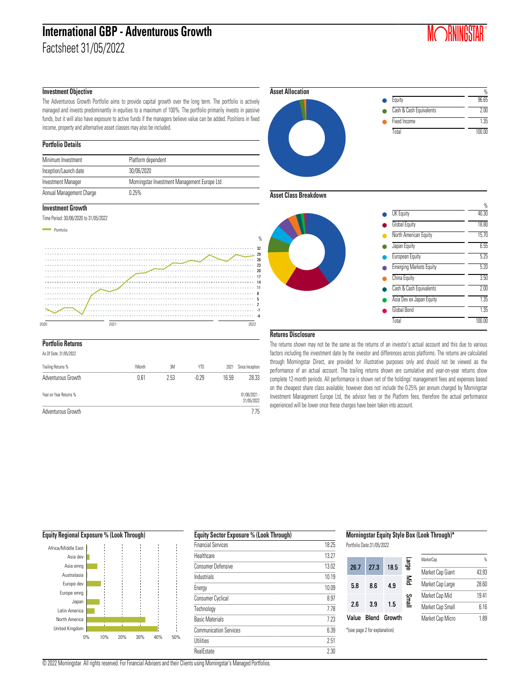### **International GBP - Adventurous Growth** Factsheet 31/05/2022

## **MORNINGSTAR**®

#### **Investment Objective**

The Adventurous Growth Portfolio aims to provide capital growth over the long term. The portfolio is actively managed and invests predominantly in equities to a maximum of 100%. The portfolio primarily invests in passive funds, but it will also have exposure to active funds if the managers believe value can be added. Positions in fixed income, property and alternative asset classes may also be included.

#### **Portfolio Details**

| Minimum Investment        | Platform dependent                           |
|---------------------------|----------------------------------------------|
| Inception/Launch date     | 30/06/2020                                   |
| <b>Investment Manager</b> | Morningstar Investment Management Europe Ltd |
| Annual Management Charge  | 0.25%                                        |

#### **Investment Growth**

Time Period: 30/06/2020 to 31/05/2022



| As Of Date: 31/05/2022 |        |      |         |       |                              |
|------------------------|--------|------|---------|-------|------------------------------|
| Trailing Returns %     | 1Month | 3M   | YTD     | 2021  | Since Inception              |
| Adventurous Growth     | 0.61   | 2.53 | $-0.29$ | 16.59 | 28.33                        |
| Year on Year Returns % |        |      |         |       | $01/06/2021 -$<br>31/05/2022 |
| Adventurous Growth     |        |      |         |       | 7.75                         |



#### **Asset Class Breakdown**



#### **Returns Disclosure**

The returns shown may not be the same as the returns of an investor's actual account and this due to various factors including the investment date by the investor and differences across platforms. The returns are calculated through Morningstar Direct, are provided for illustrative purposes only and should not be viewed as the performance of an actual account. The trailing returns shown are cumulative and year-on-year returns show complete 12-month periods. All performance is shown net of the holdings' management fees and expenses based on the cheapest share class available; however does not include the 0.25% per annum charged by Morningstar Investment Management Europe Ltd, the advisor fees or the Platform fees, therefore the actual performance experienced will be lower once these charges have been taken into account.



| <b>Financial Services</b> | 18.25 |
|---------------------------|-------|
| Healthcare                | 13 27 |
| <b>Consumer Defensive</b> | 13.02 |
| Industrials               | 10 19 |
| Energy                    | 10.09 |
| <b>Consumer Cyclical</b>  | 8.97  |
| Technology                | 778   |
| <b>Basic Materials</b>    | 7 23  |
| Communication Services    | 6.39  |
| <b>Utilities</b>          | 2.51  |
| RealEstate                | 2.30  |

| Morningstar Equity Style Box (Look Through)* |
|----------------------------------------------|
|----------------------------------------------|

Portfolio Date:31/05/2022

|       |                               |        | eige<br>S             | MarketCap        | %     |
|-------|-------------------------------|--------|-----------------------|------------------|-------|
| 26.7  | 273                           | 18.5   |                       | Market Cap Giant | 43.93 |
| 5.8   | 8.6                           | 4.9    | $\mathop{\mathbb{E}}$ | Market Cap Large | 28.60 |
|       |                               |        | Small                 | Market Cap Mid   | 19.41 |
| 2.6   | 3.9                           | 1.5    |                       | Market Cap Small | 6.16  |
| Value | Blend                         | Growth |                       | Market Cap Micro | 1.89  |
|       | *(see page 2 for explanation) |        |                       |                  |       |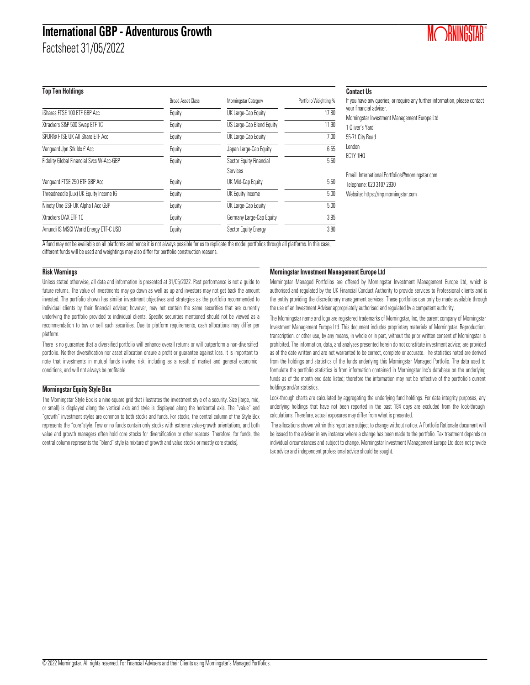## **International GBP - Adventurous Growth**

Factsheet 31/05/2022

#### **Top Ten Holdings**

|                                          | <b>Broad Asset Class</b> | Morningstar Category      | Portfolio Weighting % |
|------------------------------------------|--------------------------|---------------------------|-----------------------|
| iShares FTSE 100 ETF GBP Acc             | Equity                   | UK Large-Cap Equity       | 17.80                 |
| Xtrackers S&P 500 Swap ETF 1C            | Equity                   | US Large-Cap Blend Equity | 11.90                 |
| SPDR® FTSE UK All Share ETF Acc          | Equity                   | UK Large-Cap Equity       | 7.00                  |
| Vanquard Jpn Stk Idx £ Acc               | Equity                   | Japan Large-Cap Equity    | 6.55                  |
| Fidelity Global Financial Svcs W-Acc-GBP | Equity                   | Sector Equity Financial   | 5.50                  |
|                                          |                          | Services                  |                       |
| Vanquard FTSE 250 ETF GBP Acc            | Equity                   | UK Mid-Cap Equity         | 5.50                  |
| Threadneedle (Lux) UK Equity Income IG   | Equity                   | UK Equity Income          | 5.00                  |
| Ninety One GSF UK Alpha I Acc GBP        | Equity                   | UK Large-Cap Equity       | 5.00                  |
| Xtrackers DAX ETF 1C                     | Equity                   | Germany Large-Cap Equity  | 3.95                  |
| Amundi IS MSCI World Energy ETF-C USD    | Equity                   | Sector Equity Energy      | 3.80                  |

#### **Contact Us**

| If you have any queries, or require any further information, please contact<br>your financial adviser. |
|--------------------------------------------------------------------------------------------------------|
| Morningstar Investment Management Europe Ltd                                                           |
| 1 Oliver's Yard                                                                                        |
| 55-71 City Road                                                                                        |
| London                                                                                                 |
| <b>EC1Y 1HO</b>                                                                                        |
|                                                                                                        |
| Email: International.Portfolios@morningstar.com                                                        |
| Telephone: 020 3107 2930                                                                               |

Website: https://mp.morningstar.com

A fund may not be available on all platforms and hence it is not always possible for us to replicate the model portfolios through all platforms. In this case, different funds will be used and weightings may also differ for portfolio construction reasons.

#### **Risk Warnings**

Unless stated otherwise, all data and information is presented at 31/05/2022. Past performance is not a guide to future returns. The value of investments may go down as well as up and investors may not get back the amount invested. The portfolio shown has similar investment objectives and strategies as the portfolio recommended to individual clients by their financial adviser; however, may not contain the same securities that are currently underlying the portfolio provided to individual clients. Specific securities mentioned should not be viewed as a recommendation to buy or sell such securities. Due to platform requirements, cash allocations may differ per platform.

There is no guarantee that a diversified portfolio will enhance overall returns or will outperform a non-diversified portfolio. Neither diversification nor asset allocation ensure a profit or guarantee against loss. It is important to note that investments in mutual funds involve risk, including as a result of market and general economic conditions, and will not always be profitable.

#### **Morningstar Equity Style Box**

The Morningstar Style Box is a nine-square grid that illustrates the investment style of a security. Size (large, mid, or small) is displayed along the vertical axis and style is displayed along the horizontal axis. The "value" and "growth" investment styles are common to both stocks and funds. For stocks, the central column of the Style Box represents the "core"style. Few or no funds contain only stocks with extreme value-growth orientations, and both value and growth managers often hold core stocks for diversification or other reasons. Therefore, for funds, the central column represents the "blend" style (a mixture of growth and value stocks or mostly core stocks).

#### **Morningstar Investment Management Europe Ltd**

Morningstar Managed Portfolios are offered by Morningstar Investment Management Europe Ltd, which is authorised and regulated by the UK Financial Conduct Authority to provide services to Professional clients and is the entity providing the discretionary management services. These portfolios can only be made available through the use of an Investment Adviser appropriately authorised and regulated by a competent authority.

The Morningstar name and logo are registered trademarks of Morningstar, Inc, the parent company of Morningstar Investment Management Europe Ltd. This document includes proprietary materials of Morningstar. Reproduction, transcription, or other use, by any means, in whole or in part, without the prior written consent of Morningstar is prohibited. The information, data, and analyses presented herein do not constitute investment advice; are provided as of the date written and are not warranted to be correct, complete or accurate. The statistics noted are derived from the holdings and statistics of the funds underlying this Morningstar Managed Portfolio. The data used to formulate the portfolio statistics is from information contained in Morningstar Inc's database on the underlying funds as of the month end date listed; therefore the information may not be reflective of the portfolio's current holdings and/or statistics.

Look-through charts are calculated by aggregating the underlying fund holdings. For data integrity purposes, any underlying holdings that have not been reported in the past 184 days are excluded from the look-through calculations. Therefore, actual exposures may differ from what is presented.